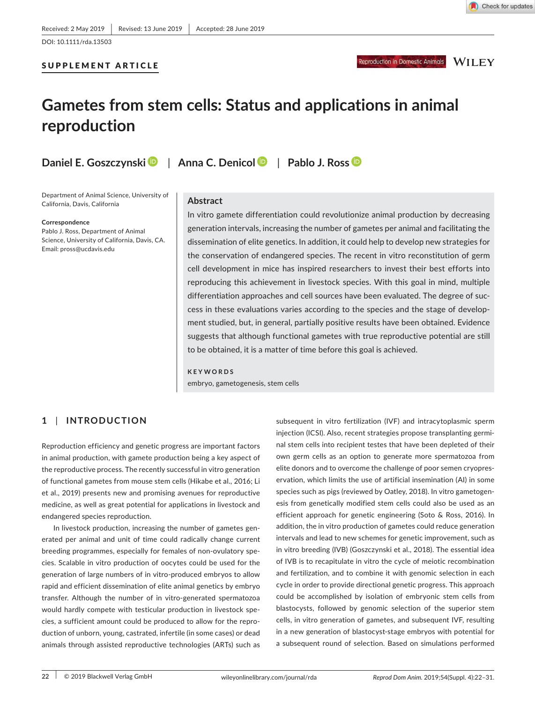## Reproduction in Domestic Animals WILEY

# **Gametes from stem cells: Status and applications in animal reproduction**

SUPPLEMENT ARTICLE

**Daniel E. Goszczynski** | **Anna C. Denicol** | **Pablo J. Ross**

Department of Animal Science, University of California, Davis, California

**Correspondence**

Pablo J. Ross, Department of Animal Science, University of California, Davis, CA. Email: pross@ucdavis.edu

#### **Abstract**

In vitro gamete differentiation could revolutionize animal production by decreasing generation intervals, increasing the number of gametes per animal and facilitating the dissemination of elite genetics. In addition, it could help to develop new strategies for the conservation of endangered species. The recent in vitro reconstitution of germ cell development in mice has inspired researchers to invest their best efforts into reproducing this achievement in livestock species. With this goal in mind, multiple differentiation approaches and cell sources have been evaluated. The degree of suc‐ cess in these evaluations varies according to the species and the stage of develop‐ ment studied, but, in general, partially positive results have been obtained. Evidence suggests that although functional gametes with true reproductive potential are still to be obtained, it is a matter of time before this goal is achieved.

**KEYWORDS** embryo, gametogenesis, stem cells

## **1** | **INTRODUCTION**

Reproduction efficiency and genetic progress are important factors in animal production, with gamete production being a key aspect of the reproductive process. The recently successful in vitro generation of functional gametes from mouse stem cells (Hikabe et al., 2016; Li et al., 2019) presents new and promising avenues for reproductive medicine, as well as great potential for applications in livestock and endangered species reproduction.

In livestock production, increasing the number of gametes gen‐ erated per animal and unit of time could radically change current breeding programmes, especially for females of non‐ovulatory spe‐ cies. Scalable in vitro production of oocytes could be used for the generation of large numbers of in vitro‐produced embryos to allow rapid and efficient dissemination of elite animal genetics by embryo transfer. Although the number of in vitro‐generated spermatozoa would hardly compete with testicular production in livestock spe‐ cies, a sufficient amount could be produced to allow for the repro‐ duction of unborn, young, castrated, infertile (in some cases) or dead animals through assisted reproductive technologies (ARTs) such as

subsequent in vitro fertilization (IVF) and intracytoplasmic sperm injection (ICSI). Also, recent strategies propose transplanting germi‐ nal stem cells into recipient testes that have been depleted of their own germ cells as an option to generate more spermatozoa from elite donors and to overcome the challenge of poor semen cryopres‐ ervation, which limits the use of artificial insemination (AI) in some species such as pigs (reviewed by Oatley, 2018). In vitro gametogen‐ esis from genetically modified stem cells could also be used as an efficient approach for genetic engineering (Soto & Ross, 2016). In addition, the in vitro production of gametes could reduce generation intervals and lead to new schemes for genetic improvement, such as in vitro breeding (IVB) (Goszczynski et al., 2018). The essential idea of IVB is to recapitulate in vitro the cycle of meiotic recombination and fertilization, and to combine it with genomic selection in each cycle in order to provide directional genetic progress. This approach could be accomplished by isolation of embryonic stem cells from blastocysts, followed by genomic selection of the superior stem cells, in vitro generation of gametes, and subsequent IVF, resulting in a new generation of blastocyst‐stage embryos with potential for a subsequent round of selection. Based on simulations performed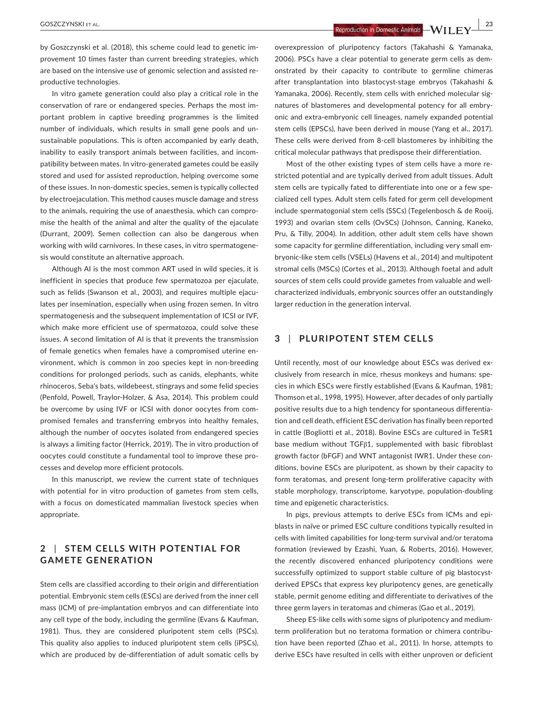**<sup>|</sup>** GOSZCZYNSKI et al. **23**

by Goszczynski et al. (2018), this scheme could lead to genetic im‐ provement 10 times faster than current breeding strategies, which are based on the intensive use of genomic selection and assisted re‐ productive technologies.

In vitro gamete generation could also play a critical role in the conservation of rare or endangered species. Perhaps the most im‐ portant problem in captive breeding programmes is the limited number of individuals, which results in small gene pools and un‐ sustainable populations. This is often accompanied by early death, inability to easily transport animals between facilities, and incompatibility between mates. In vitro‐generated gametes could be easily stored and used for assisted reproduction, helping overcome some of these issues. In non‐domestic species, semen is typically collected by electroejaculation. This method causes muscle damage and stress to the animals, requiring the use of anaesthesia, which can compro‐ mise the health of the animal and alter the quality of the ejaculate (Durrant, 2009). Semen collection can also be dangerous when working with wild carnivores. In these cases, in vitro spermatogene‐ sis would constitute an alternative approach.

Although AI is the most common ART used in wild species, it is inefficient in species that produce few spermatozoa per ejaculate, such as felids (Swanson et al., 2003), and requires multiple ejaculates per insemination, especially when using frozen semen. In vitro spermatogenesis and the subsequent implementation of ICSI or IVF, which make more efficient use of spermatozoa, could solve these issues. A second limitation of AI is that it prevents the transmission of female genetics when females have a compromised uterine en‐ vironment, which is common in zoo species kept in non‐breeding conditions for prolonged periods, such as canids, elephants, white rhinoceros, Seba's bats, wildebeest, stingrays and some felid species (Penfold, Powell, Traylor‐Holzer, & Asa, 2014). This problem could be overcome by using IVF or ICSI with donor oocytes from com‐ promised females and transferring embryos into healthy females, although the number of oocytes isolated from endangered species is always a limiting factor (Herrick, 2019). The in vitro production of oocytes could constitute a fundamental tool to improve these pro‐ cesses and develop more efficient protocols.

In this manuscript, we review the current state of techniques with potential for in vitro production of gametes from stem cells, with a focus on domesticated mammalian livestock species when appropriate.

## **2** | **STEM CELL S WITH POTENTIAL FOR GAMETE GENERATION**

Stem cells are classified according to their origin and differentiation potential. Embryonic stem cells (ESCs) are derived from the inner cell mass (ICM) of pre‐implantation embryos and can differentiate into any cell type of the body, including the germline (Evans & Kaufman, 1981). Thus, they are considered pluripotent stem cells (PSCs). This quality also applies to induced pluripotent stem cells (iPSCs), which are produced by de-differentiation of adult somatic cells by

overexpression of pluripotency factors (Takahashi & Yamanaka, 2006). PSCs have a clear potential to generate germ cells as dem‐ onstrated by their capacity to contribute to germline chimeras after transplantation into blastocyst‐stage embryos (Takahashi & Yamanaka, 2006). Recently, stem cells with enriched molecular sig‐ natures of blastomeres and developmental potency for all embry‐ onic and extra‐embryonic cell lineages, namely expanded potential stem cells (EPSCs), have been derived in mouse (Yang et al., 2017). These cells were derived from 8‐cell blastomeres by inhibiting the critical molecular pathways that predispose their differentiation.

Most of the other existing types of stem cells have a more re‐ stricted potential and are typically derived from adult tissues. Adult stem cells are typically fated to differentiate into one or a few spe‐ cialized cell types. Adult stem cells fated for germ cell development include spermatogonial stem cells (SSCs) (Tegelenbosch & de Rooij, 1993) and ovarian stem cells (OvSCs) (Johnson, Canning, Kaneko, Pru, & Tilly, 2004). In addition, other adult stem cells have shown some capacity for germline differentiation, including very small em‐ bryonic‐like stem cells (VSELs) (Havens et al., 2014) and multipotent stromal cells (MSCs) (Cortes et al., 2013). Although foetal and adult sources of stem cells could provide gametes from valuable and well‐ characterized individuals, embryonic sources offer an outstandingly larger reduction in the generation interval.

## **3** | **PLURIPOTENT STEM CELLS**

Until recently, most of our knowledge about ESCs was derived ex‐ clusively from research in mice, rhesus monkeys and humans: spe‐ cies in which ESCs were firstly established (Evans & Kaufman, 1981; Thomson et al., 1998, 1995). However, after decades of only partially positive results due to a high tendency for spontaneous differentia‐ tion and cell death, efficient ESC derivation has finally been reported in cattle (Bogliotti et al., 2018). Bovine ESCs are cultured in TeSR1 base medium without TGFβ1, supplemented with basic fibroblast growth factor (bFGF) and WNT antagonist IWR1. Under these con‐ ditions, bovine ESCs are pluripotent, as shown by their capacity to form teratomas, and present long-term proliferative capacity with stable morphology, transcriptome, karyotype, population‐doubling time and epigenetic characteristics.

In pigs, previous attempts to derive ESCs from ICMs and epiblasts in naïve or primed ESC culture conditions typically resulted in cells with limited capabilities for long‐term survival and/or teratoma formation (reviewed by Ezashi, Yuan, & Roberts, 2016). However, the recently discovered enhanced pluripotency conditions were successfully optimized to support stable culture of pig blastocystderived EPSCs that express key pluripotency genes, are genetically stable, permit genome editing and differentiate to derivatives of the three germ layers in teratomas and chimeras (Gao et al., 2019).

Sheep ES‐like cells with some signs of pluripotency and medium‐ term proliferation but no teratoma formation or chimera contribu‐ tion have been reported (Zhao et al., 2011). In horse, attempts to derive ESCs have resulted in cells with either unproven or deficient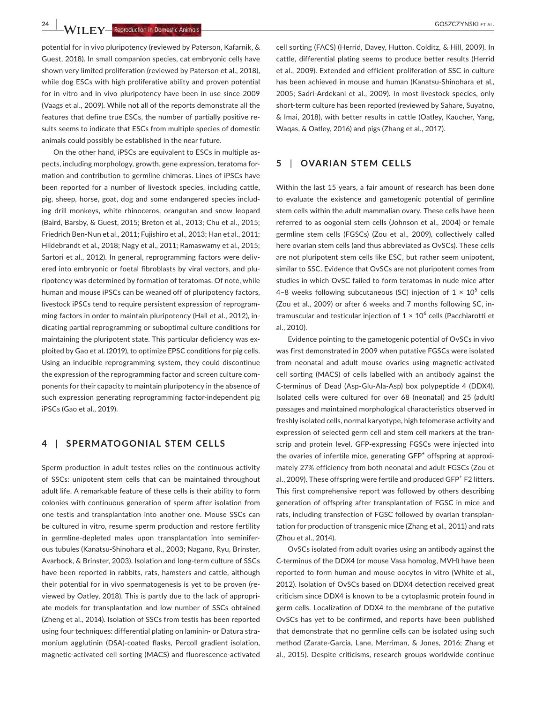**24 WII FY** Reproduction in Domestic Animals **All and Separate Animals COSZCZYNSKI ET AL.** 

potential for in vivo pluripotency (reviewed by Paterson, Kafarnik, & Guest, 2018). In small companion species, cat embryonic cells have shown very limited proliferation (reviewed by Paterson et al., 2018), while dog ESCs with high proliferative ability and proven potential for in vitro and in vivo pluripotency have been in use since 2009 (Vaags et al., 2009). While not all of the reports demonstrate all the features that define true ESCs, the number of partially positive re‐ sults seems to indicate that ESCs from multiple species of domestic animals could possibly be established in the near future.

On the other hand, iPSCs are equivalent to ESCs in multiple as‐ pects, including morphology, growth, gene expression, teratoma for‐ mation and contribution to germline chimeras. Lines of iPSCs have been reported for a number of livestock species, including cattle, pig, sheep, horse, goat, dog and some endangered species includ‐ ing drill monkeys, white rhinoceros, orangutan and snow leopard (Baird, Barsby, & Guest, 2015; Breton et al., 2013; Chu et al., 2015; Friedrich Ben‐Nun et al., 2011; Fujishiro et al., 2013; Han et al., 2011; Hildebrandt et al., 2018; Nagy et al., 2011; Ramaswamy et al., 2015; Sartori et al., 2012). In general, reprogramming factors were delivered into embryonic or foetal fibroblasts by viral vectors, and plu‐ ripotency was determined by formation of teratomas. Of note, while human and mouse iPSCs can be weaned off of pluripotency factors, livestock iPSCs tend to require persistent expression of reprogram‐ ming factors in order to maintain pluripotency (Hall et al., 2012), in‐ dicating partial reprogramming or suboptimal culture conditions for maintaining the pluripotent state. This particular deficiency was ex‐ ploited by Gao et al. (2019), to optimize EPSC conditions for pig cells. Using an inducible reprogramming system, they could discontinue the expression of the reprogramming factor and screen culture com‐ ponents for their capacity to maintain pluripotency in the absence of such expression generating reprogramming factor-independent pig iPSCs (Gao et al., 2019).

#### **4** | **SPERMATOGONIAL STEM CELLS**

Sperm production in adult testes relies on the continuous activity of SSCs: unipotent stem cells that can be maintained throughout adult life. A remarkable feature of these cells is their ability to form colonies with continuous generation of sperm after isolation from one testis and transplantation into another one. Mouse SSCs can be cultured in vitro, resume sperm production and restore fertility in germline-depleted males upon transplantation into seminiferous tubules (Kanatsu‐Shinohara et al., 2003; Nagano, Ryu, Brinster, Avarbock, & Brinster, 2003). Isolation and long‐term culture of SSCs have been reported in rabbits, rats, hamsters and cattle, although their potential for in vivo spermatogenesis is yet to be proven (re‐ viewed by Oatley, 2018). This is partly due to the lack of appropri‐ ate models for transplantation and low number of SSCs obtained (Zheng et al., 2014). Isolation of SSCs from testis has been reported using four techniques: differential plating on laminin‐ or Datura stra‐ monium agglutinin (DSA)‐coated flasks, Percoll gradient isolation, magnetic‐activated cell sorting (MACS) and fluorescence‐activated

cell sorting (FACS) (Herrid, Davey, Hutton, Colditz, & Hill, 2009). In cattle, differential plating seems to produce better results (Herrid et al., 2009). Extended and efficient proliferation of SSC in culture has been achieved in mouse and human (Kanatsu-Shinohara et al., 2005; Sadri‐Ardekani et al., 2009). In most livestock species, only short-term culture has been reported (reviewed by Sahare, Suyatno, & Imai, 2018), with better results in cattle (Oatley, Kaucher, Yang, Waqas, & Oatley, 2016) and pigs (Zhang et al., 2017).

### **5** | **OVARIAN STEM CELLS**

Within the last 15 years, a fair amount of research has been done to evaluate the existence and gametogenic potential of germline stem cells within the adult mammalian ovary. These cells have been referred to as oogonial stem cells (Johnson et al., 2004) or female germline stem cells (FGSCs) (Zou et al., 2009), collectively called here ovarian stem cells (and thus abbreviated as OvSCs). These cells are not pluripotent stem cells like ESC, but rather seem unipotent, similar to SSC. Evidence that OvSCs are not pluripotent comes from studies in which OvSC failed to form teratomas in nude mice after 4-8 weeks following subcutaneous (SC) injection of  $1 \times 10^5$  cells (Zou et al., 2009) or after 6 weeks and 7 months following SC, in‐ tramuscular and testicular injection of  $1 \times 10^6$  cells (Pacchiarotti et al., 2010).

Evidence pointing to the gametogenic potential of OvSCs in vivo was first demonstrated in 2009 when putative FGSCs were isolated from neonatal and adult mouse ovaries using magnetic‐activated cell sorting (MACS) of cells labelled with an antibody against the C‐terminus of Dead (Asp‐Glu‐Ala‐Asp) box polypeptide 4 (DDX4). Isolated cells were cultured for over 68 (neonatal) and 25 (adult) passages and maintained morphological characteristics observed in freshly isolated cells, normal karyotype, high telomerase activity and expression of selected germ cell and stem cell markers at the transcrip and protein level. GFP‐expressing FGSCs were injected into the ovaries of infertile mice, generating GFP<sup>+</sup> offspring at approximately 27% efficiency from both neonatal and adult FGSCs (Zou et al., 2009). These offspring were fertile and produced GFP<sup>+</sup> F2 litters. This first comprehensive report was followed by others describing generation of offspring after transplantation of FGSC in mice and rats, including transfection of FGSC followed by ovarian transplan‐ tation for production of transgenic mice (Zhang et al., 2011) and rats (Zhou et al., 2014).

OvSCs isolated from adult ovaries using an antibody against the C-terminus of the DDX4 (or mouse Vasa homolog, MVH) have been reported to form human and mouse oocytes in vitro (White et al., 2012). Isolation of OvSCs based on DDX4 detection received great criticism since DDX4 is known to be a cytoplasmic protein found in germ cells. Localization of DDX4 to the membrane of the putative OvSCs has yet to be confirmed, and reports have been published that demonstrate that no germline cells can be isolated using such method (Zarate‐Garcia, Lane, Merriman, & Jones, 2016; Zhang et al., 2015). Despite criticisms, research groups worldwide continue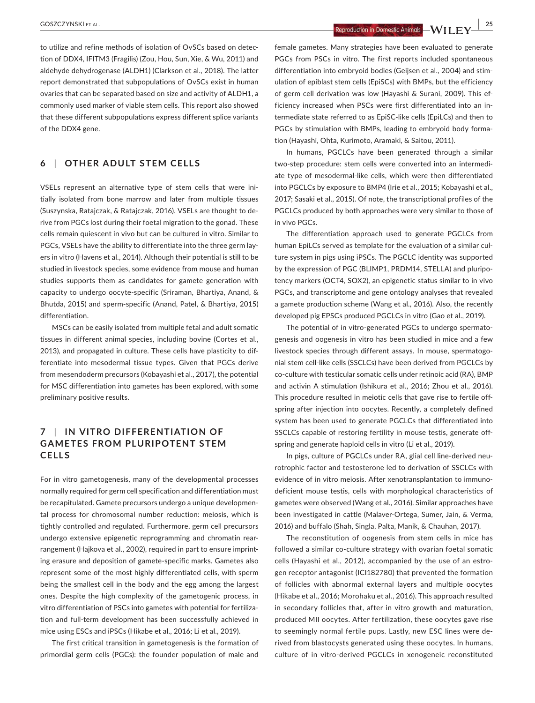**<sup>|</sup>** GOSZCZYNSKI et al. **25**

# **6** | **OTHER ADULT STEM CELLS**

VSELs represent an alternative type of stem cells that were ini‐ tially isolated from bone marrow and later from multiple tissues (Suszynska, Ratajczak, & Ratajczak, 2016). VSELs are thought to de‐ rive from PGCs lost during their foetal migration to the gonad. These cells remain quiescent in vivo but can be cultured in vitro. Similar to PGCs, VSELs have the ability to differentiate into the three germ lay‐ ers in vitro (Havens et al., 2014). Although their potential is still to be studied in livestock species, some evidence from mouse and human studies supports them as candidates for gamete generation with capacity to undergo oocyte‐specific (Sriraman, Bhartiya, Anand, & Bhutda, 2015) and sperm‐specific (Anand, Patel, & Bhartiya, 2015) differentiation.

MSCs can be easily isolated from multiple fetal and adult somatic tissues in different animal species, including bovine (Cortes et al., 2013), and propagated in culture. These cells have plasticity to dif‐ ferentiate into mesodermal tissue types. Given that PGCs derive from mesendoderm precursors (Kobayashi et al., 2017), the potential for MSC differentiation into gametes has been explored, with some preliminary positive results.

# **7** | **IN VITRO DIFFERENTIATION OF GAMETES FROM PLURIPOTENT STEM CELLS**

For in vitro gametogenesis, many of the developmental processes normally required for germ cell specification and differentiation must be recapitulated. Gamete precursors undergo a unique developmen‐ tal process for chromosomal number reduction: meiosis, which is tightly controlled and regulated. Furthermore, germ cell precursors undergo extensive epigenetic reprogramming and chromatin rear‐ rangement (Hajkova et al., 2002), required in part to ensure imprint‐ ing erasure and deposition of gamete‐specific marks. Gametes also represent some of the most highly differentiated cells, with sperm being the smallest cell in the body and the egg among the largest ones. Despite the high complexity of the gametogenic process, in vitro differentiation of PSCs into gametes with potential for fertiliza‐ tion and full‐term development has been successfully achieved in mice using ESCs and iPSCs (Hikabe et al., 2016; Li et al., 2019).

The first critical transition in gametogenesis is the formation of primordial germ cells (PGCs): the founder population of male and

female gametes. Many strategies have been evaluated to generate PGCs from PSCs in vitro. The first reports included spontaneous differentiation into embryoid bodies (Geijsen et al., 2004) and stim‐ ulation of epiblast stem cells (EpiSCs) with BMPs, but the efficiency of germ cell derivation was low (Hayashi & Surani, 2009). This ef‐ ficiency increased when PSCs were first differentiated into an in‐ termediate state referred to as EpiSC‐like cells (EpiLCs) and then to PGCs by stimulation with BMPs, leading to embryoid body forma‐ tion (Hayashi, Ohta, Kurimoto, Aramaki, & Saitou, 2011).

In humans, PGCLCs have been generated through a similar two‐step procedure: stem cells were converted into an intermedi‐ ate type of mesodermal‐like cells, which were then differentiated into PGCLCs by exposure to BMP4 (Irie et al., 2015; Kobayashi et al., 2017; Sasaki et al., 2015). Of note, the transcriptional profiles of the PGCLCs produced by both approaches were very similar to those of in vivo PGCs.

The differentiation approach used to generate PGCLCs from human EpiLCs served as template for the evaluation of a similar cul‐ ture system in pigs using iPSCs. The PGCLC identity was supported by the expression of PGC (BLIMP1, PRDM14, STELLA) and pluripotency markers (OCT4, SOX2), an epigenetic status similar to in vivo PGCs, and transcriptome and gene ontology analyses that revealed a gamete production scheme (Wang et al., 2016). Also, the recently developed pig EPSCs produced PGCLCs in vitro (Gao et al., 2019).

The potential of in vitro-generated PGCs to undergo spermatogenesis and oogenesis in vitro has been studied in mice and a few livestock species through different assays. In mouse, spermatogo‐ nial stem cell‐like cells (SSCLCs) have been derived from PGCLCs by co-culture with testicular somatic cells under retinoic acid (RA), BMP and activin A stimulation (Ishikura et al., 2016; Zhou et al., 2016). This procedure resulted in meiotic cells that gave rise to fertile off‐ spring after injection into oocytes. Recently, a completely defined system has been used to generate PGCLCs that differentiated into SSCLCs capable of restoring fertility in mouse testis, generate off‐ spring and generate haploid cells in vitro (Li et al., 2019).

In pigs, culture of PGCLCs under RA, glial cell line-derived neurotrophic factor and testosterone led to derivation of SSCLCs with evidence of in vitro meiosis. After xenotransplantation to immuno‐ deficient mouse testis, cells with morphological characteristics of gametes were observed (Wang et al., 2016). Similar approaches have been investigated in cattle (Malaver‐Ortega, Sumer, Jain, & Verma, 2016) and buffalo (Shah, Singla, Palta, Manik, & Chauhan, 2017).

The reconstitution of oogenesis from stem cells in mice has followed a similar co-culture strategy with ovarian foetal somatic cells (Hayashi et al., 2012), accompanied by the use of an estro‐ gen receptor antagonist (ICI182780) that prevented the formation of follicles with abnormal external layers and multiple oocytes (Hikabe et al., 2016; Morohaku et al., 2016). This approach resulted in secondary follicles that, after in vitro growth and maturation, produced MII oocytes. After fertilization, these oocytes gave rise to seemingly normal fertile pups. Lastly, new ESC lines were de‐ rived from blastocysts generated using these oocytes. In humans, culture of in vitro‐derived PGCLCs in xenogeneic reconstituted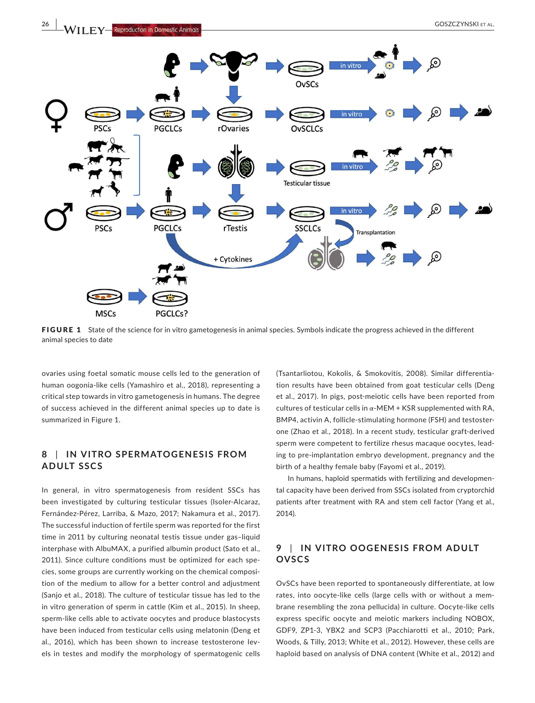

FIGURE 1 State of the science for in vitro gametogenesis in animal species. Symbols indicate the progress achieved in the different animal species to date

ovaries using foetal somatic mouse cells led to the generation of human oogonia‐like cells (Yamashiro et al., 2018), representing a critical step towards in vitro gametogenesis in humans. The degree of success achieved in the different animal species up to date is summarized in Figure 1.

# **8** | **IN VITRO SPERMATOGENESIS FROM ADULT SSCS**

In general, in vitro spermatogenesis from resident SSCs has been investigated by culturing testicular tissues (Isoler-Alcaraz, Fernández‐Pérez, Larriba, & Mazo, 2017; Nakamura et al., 2017). The successful induction of fertile sperm was reported for the first time in 2011 by culturing neonatal testis tissue under gas–liquid interphase with AlbuMAX, a purified albumin product (Sato et al., 2011). Since culture conditions must be optimized for each spe‐ cies, some groups are currently working on the chemical composi‐ tion of the medium to allow for a better control and adjustment (Sanjo et al., 2018). The culture of testicular tissue has led to the in vitro generation of sperm in cattle (Kim et al., 2015). In sheep, sperm‐like cells able to activate oocytes and produce blastocysts have been induced from testicular cells using melatonin (Deng et al., 2016), which has been shown to increase testosterone levels in testes and modify the morphology of spermatogenic cells

(Tsantarliotou, Kokolis, & Smokovitis, 2008). Similar differentia‐ tion results have been obtained from goat testicular cells (Deng et al., 2017). In pigs, post‐meiotic cells have been reported from cultures of testicular cells in  $\alpha$ -MEM + KSR supplemented with RA, BMP4, activin A, follicle‐stimulating hormone (FSH) and testoster‐ one (Zhao et al., 2018). In a recent study, testicular graft‐derived sperm were competent to fertilize rhesus macaque oocytes, lead‐ ing to pre‐implantation embryo development, pregnancy and the birth of a healthy female baby (Fayomi et al., 2019).

In humans, haploid spermatids with fertilizing and developmen‐ tal capacity have been derived from SSCs isolated from cryptorchid patients after treatment with RA and stem cell factor (Yang et al., 2014).

# **9** | **IN VITRO OOGENESIS FROM ADULT OVSCS**

OvSCs have been reported to spontaneously differentiate, at low rates, into oocyte‐like cells (large cells with or without a mem‐ brane resembling the zona pellucida) in culture. Oocyte‐like cells express specific oocyte and meiotic markers including NOBOX, GDF9, ZP1‐3, YBX2 and SCP3 (Pacchiarotti et al., 2010; Park, Woods, & Tilly, 2013; White et al., 2012). However, these cells are haploid based on analysis of DNA content (White et al., 2012) and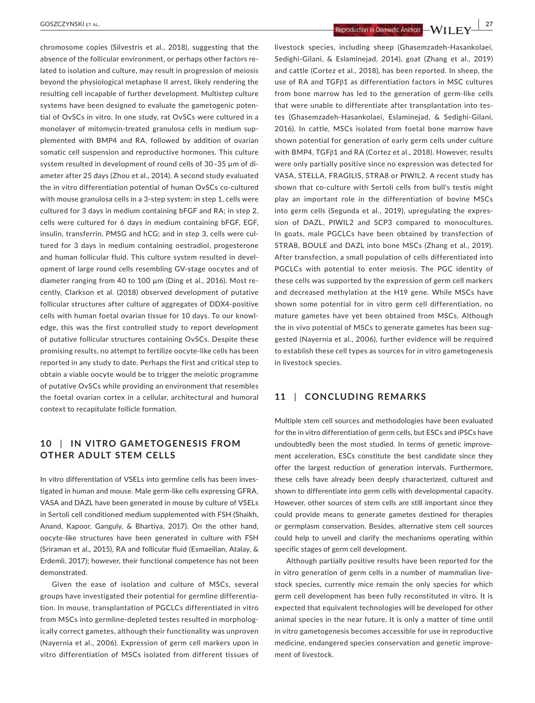chromosome copies (Silvestris et al., 2018), suggesting that the absence of the follicular environment, or perhaps other factors re‐ lated to isolation and culture, may result in progression of meiosis beyond the physiological metaphase II arrest, likely rendering the resulting cell incapable of further development. Multistep culture systems have been designed to evaluate the gametogenic potential of OvSCs in vitro. In one study, rat OvSCs were cultured in a monolayer of mitomycin-treated granulosa cells in medium supplemented with BMP4 and RA, followed by addition of ovarian somatic cell suspension and reproductive hormones. This culture system resulted in development of round cells of 30–35 µm of di‐ ameter after 25 days (Zhou et al., 2014). A second study evaluated the in vitro differentiation potential of human OvSCs co‐cultured with mouse granulosa cells in a 3‐step system: in step 1, cells were cultured for 3 days in medium containing bFGF and RA; in step 2, cells were cultured for 6 days in medium containing bFGF, EGF, insulin, transferrin, PMSG and hCG; and in step 3, cells were cultured for 3 days in medium containing oestradiol, progesterone and human follicular fluid. This culture system resulted in devel‐ opment of large round cells resembling GV‐stage oocytes and of diameter ranging from 40 to 100 µm (Ding et al., 2016). Most re‐ cently, Clarkson et al. (2018) observed development of putative follicular structures after culture of aggregates of DDX4‐positive cells with human foetal ovarian tissue for 10 days. To our knowl‐ edge, this was the first controlled study to report development of putative follicular structures containing OvSCs. Despite these promising results, no attempt to fertilize oocyte‐like cells has been reported in any study to date. Perhaps the first and critical step to obtain a viable oocyte would be to trigger the meiotic programme of putative OvSCs while providing an environment that resembles the foetal ovarian cortex in a cellular, architectural and humoral context to recapitulate follicle formation.

# **10** | **IN VITRO GAMETOGENESIS FROM OTHER ADULT STEM CELLS**

In vitro differentiation of VSELs into germline cells has been investigated in human and mouse. Male germ‐like cells expressing GFRA, VASA and DAZL have been generated in mouse by culture of VSELs in Sertoli cell conditioned medium supplemented with FSH (Shaikh, Anand, Kapoor, Ganguly, & Bhartiya, 2017). On the other hand, oocyte‐like structures have been generated in culture with FSH (Sriraman et al., 2015), RA and follicular fluid (Esmaeilian, Atalay, & Erdemli, 2017); however, their functional competence has not been demonstrated.

Given the ease of isolation and culture of MSCs, several groups have investigated their potential for germline differentia‐ tion. In mouse, transplantation of PGCLCs differentiated in vitro from MSCs into germline‐depleted testes resulted in morpholog‐ ically correct gametes, although their functionality was unproven (Nayernia et al., 2006). Expression of germ cell markers upon in vitro differentiation of MSCs isolated from different tissues of

Sedighi‐Gilani, & Eslaminejad, 2014), goat (Zhang et al., 2019) and cattle (Cortez et al., 2018), has been reported. In sheep, the use of RA and TGFβ1 as differentiation factors in MSC cultures from bone marrow has led to the generation of germ-like cells that were unable to differentiate after transplantation into tes‐ tes (Ghasemzadeh‐Hasankolaei, Eslaminejad, & Sedighi‐Gilani, 2016). In cattle, MSCs isolated from foetal bone marrow have shown potential for generation of early germ cells under culture with BMP4, TGFβ1 and RA (Cortez et al., 2018). However, results were only partially positive since no expression was detected for VASA, STELLA, FRAGILIS, STRA8 or PIWIL2. A recent study has shown that co-culture with Sertoli cells from bull's testis might play an important role in the differentiation of bovine MSCs into germ cells (Segunda et al., 2019), upregulating the expres‐ sion of DAZL, PIWIL2 and SCP3 compared to monocultures. In goats, male PGCLCs have been obtained by transfection of STRA8, BOULE and DAZL into bone MSCs (Zhang et al., 2019). After transfection, a small population of cells differentiated into PGCLCs with potential to enter meiosis. The PGC identity of these cells was supported by the expression of germ cell markers and decreased methylation at the H19 gene. While MSCs have shown some potential for in vitro germ cell differentiation, no mature gametes have yet been obtained from MSCs. Although the in vivo potential of MSCs to generate gametes has been suggested (Nayernia et al., 2006), further evidence will be required to establish these cell types as sources for in vitro gametogenesis in livestock species.

## **11** | **CONCLUDING REMARKS**

Multiple stem cell sources and methodologies have been evaluated for the in vitro differentiation of germ cells, but ESCs and iPSCs have undoubtedly been the most studied. In terms of genetic improve‐ ment acceleration, ESCs constitute the best candidate since they offer the largest reduction of generation intervals. Furthermore, these cells have already been deeply characterized, cultured and shown to differentiate into germ cells with developmental capacity. However, other sources of stem cells are still important since they could provide means to generate gametes destined for therapies or germplasm conservation. Besides, alternative stem cell sources could help to unveil and clarify the mechanisms operating within specific stages of germ cell development.

Although partially positive results have been reported for the in vitro generation of germ cells in a number of mammalian livestock species, currently mice remain the only species for which germ cell development has been fully reconstituted in vitro. It is expected that equivalent technologies will be developed for other animal species in the near future. It is only a matter of time until in vitro gametogenesis becomes accessible for use in reproductive medicine, endangered species conservation and genetic improve‐ ment of livestock.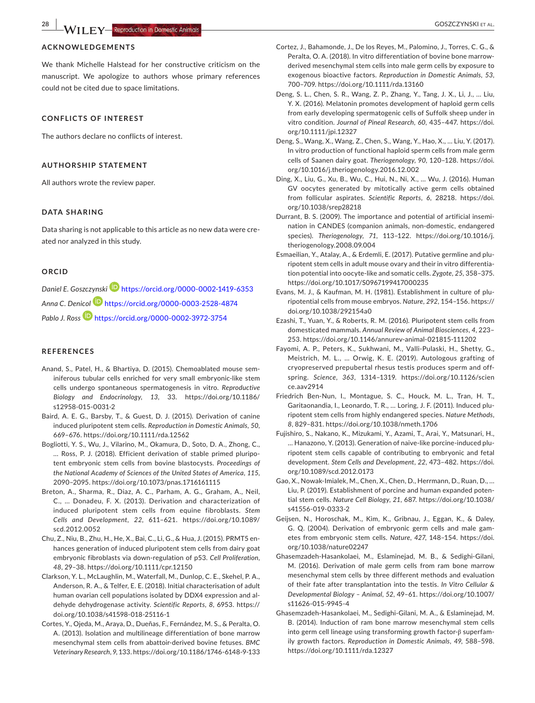#### **ACKNOWLEDGEMENTS**

We thank Michelle Halstead for her constructive criticism on the manuscript. We apologize to authors whose primary references could not be cited due to space limitations.

#### **CONFLICTS OF INTEREST**

The authors declare no conflicts of interest.

#### **AUTHORSHIP STATEMENT**

All authors wrote the review paper.

#### **DATA SHARING**

Data sharing is not applicable to this article as no new data were created nor analyzed in this study.

#### **ORCID**

*Daniel E. Goszczynski* https://orcid.org/0000‐0002‐1419‐6353 *Anna C. Denicol* https://orcid.org/0000‐0003‐2528‐4874 Pablo J. Ross<sup>1</sup> https://orcid.org/0000-0002-3972-3754

#### **REFERENCES**

- Anand, S., Patel, H., & Bhartiya, D. (2015). Chemoablated mouse sem‐ iniferous tubular cells enriched for very small embryonic‐like stem cells undergo spontaneous spermatogenesis in vitro. *Reproductive*  Biology and Endocrinology, 13, 33. https://doi.org/10.1186/ s12958‐015‐0031‐2
- Baird, A. E. G., Barsby, T., & Guest, D. J. (2015). Derivation of canine induced pluripotent stem cells. *Reproduction in Domestic Animals*, *50*, 669–676. https ://doi.org/10.1111/rda.12562
- Bogliotti, Y. S., Wu, J., Vilarino, M., Okamura, D., Soto, D. A., Zhong, C., … Ross, P. J. (2018). Efficient derivation of stable primed pluripo‐ tent embryonic stem cells from bovine blastocysts. *Proceedings of the National Academy of Sciences of the United States of America*, *115*, 2090–2095. https ://doi.org/10.1073/pnas.17161 61115
- Breton, A., Sharma, R., Diaz, A. C., Parham, A. G., Graham, A., Neil, C., … Donadeu, F. X. (2013). Derivation and characterization of induced pluripotent stem cells from equine fibroblasts. *Stem Cells and Development*, *22*, 611–621. https ://doi.org/10.1089/ scd.2012.0052
- Chu, Z., Niu, B., Zhu, H., He, X., Bai, C., Li, G., & Hua, J. (2015). PRMT5 en‐ hances generation of induced pluripotent stem cells from dairy goat embryonic fibroblasts via down‐regulation of p53. *Cell Proliferation*, *48*, 29–38. https ://doi.org/10.1111/cpr.12150
- Clarkson, Y. L., McLaughlin, M., Waterfall, M., Dunlop, C. E., Skehel, P. A., Anderson, R. A., & Telfer, E. E. (2018). Initial characterisation of adult human ovarian cell populations isolated by DDX4 expression and al‐ dehyde dehydrogenase activity. *Scientific Reports*, *8*, 6953. https :// doi.org/10.1038/s41598‐018‐25116‐1
- Cortes, Y., Ojeda, M., Araya, D., Dueñas, F., Fernández, M. S., & Peralta, O. A. (2013). Isolation and multilineage differentiation of bone marrow mesenchymal stem cells from abattoir‐derived bovine fetuses. *BMC Veterinary Research*, *9*, 133. https ://doi.org/10.1186/1746‐6148‐9‐133
- Cortez, J., Bahamonde, J., De los Reyes, M., Palomino, J., Torres, C. G., & Peralta, O. A. (2018). In vitro differentiation of bovine bone marrow‐ derived mesenchymal stem cells into male germ cells by exposure to exogenous bioactive factors. *Reproduction in Domestic Animals*, *53*, 700–709. https ://doi.org/10.1111/rda.13160
- Deng, S. L., Chen, S. R., Wang, Z. P., Zhang, Y., Tang, J. X., Li, J., … Liu, Y. X. (2016). Melatonin promotes development of haploid germ cells from early developing spermatogenic cells of Suffolk sheep under in vitro condition. *Journal of Pineal Research, 60, 435-447*, https://doi. org/10.1111/jpi.12327
- Deng, S., Wang, X., Wang, Z., Chen, S., Wang, Y., Hao, X., … Liu, Y. (2017). In vitro production of functional haploid sperm cells from male germ cells of Saanen dairy goat. *Theriogenology*, *90*, 120–128. https ://doi. org/10.1016/j.theriogenology.2016.12.002
- Ding, X., Liu, G., Xu, B., Wu, C., Hui, N., Ni, X., … Wu, J. (2016). Human GV oocytes generated by mitotically active germ cells obtained from follicular aspirates. Scientific Reports, 6, 28218. https://doi. org/10.1038/srep28218
- Durrant, B. S. (2009). The importance and potential of artificial insemi‐ nation in CANDES (companion animals, non‐domestic, endangered species). *Theriogenology*, *71*, 113–122. https ://doi.org/10.1016/j. theriogenology.2008.09.004
- Esmaeilian, Y., Atalay, A., & Erdemli, E. (2017). Putative germline and plu‐ ripotent stem cells in adult mouse ovary and their in vitro differentia‐ tion potential into oocyte‐like and somatic cells. *Zygote*, *25*, 358–375. https ://doi.org/10.1017/S0967 19941 7000235
- Evans, M. J., & Kaufman, M. H. (1981). Establishment in culture of plu‐ ripotential cells from mouse embryos. *Nature*, *292*, 154–156. https :// doi.org/10.1038/292154a0
- Ezashi, T., Yuan, Y., & Roberts, R. M. (2016). Pluripotent stem cells from domesticated mammals. *Annual Review of Animal Biosciences*, *4*, 223– 253. https://doi.org/10.1146/annurev-animal-021815-111202
- Fayomi, A. P., Peters, K., Sukhwani, M., Valli‐Pulaski, H., Shetty, G., Meistrich, M. L., … Orwig, K. E. (2019). Autologous grafting of cryopreserved prepubertal rhesus testis produces sperm and off‐ spring. *Science*, *363*, 1314–1319. https ://doi.org/10.1126/scien ce.aav2914
- Friedrich Ben‐Nun, I., Montague, S. C., Houck, M. L., Tran, H. T., Garitaonandia, I., Leonardo, T. R., … Loring, J. F. (2011). Induced plu‐ ripotent stem cells from highly endangered species. *Nature Methods*, *8*, 829–831. https ://doi.org/10.1038/nmeth.1706
- Fujishiro, S., Nakano, K., Mizukami, Y., Azami, T., Arai, Y., Matsunari, H., … Hanazono, Y. (2013). Generation of naive‐like porcine‐induced plu‐ ripotent stem cells capable of contributing to embryonic and fetal development. *Stem Cells and Development*, *22*, 473–482. https ://doi. org/10.1089/scd.2012.0173
- Gao, X., Nowak‐Imialek, M., Chen, X., Chen, D., Herrmann, D., Ruan, D., … Liu, P. (2019). Establishment of porcine and human expanded poten‐ tial stem cells. *Nature Cell Biology*, *21*, 687. https ://doi.org/10.1038/ s41556‐019‐0333‐2
- Geijsen, N., Horoschak, M., Kim, K., Gribnau, J., Eggan, K., & Daley, G. Q. (2004). Derivation of embryonic germ cells and male gametes from embryonic stem cells. *Nature*, *427*, 148–154. https ://doi. org/10.1038/nature02247
- Ghasemzadeh‐Hasankolaei, M., Eslaminejad, M. B., & Sedighi‐Gilani, M. (2016). Derivation of male germ cells from ram bone marrow mesenchymal stem cells by three different methods and evaluation of their fate after transplantation into the testis. *In Vitro Cellular & Developmental Biology – Animal*, *52*, 49–61. https ://doi.org/10.1007/ s11626‐015‐9945‐4
- Ghasemzadeh‐Hasankolaei, M., Sedighi‐Gilani, M. A., & Eslaminejad, M. B. (2014). Induction of ram bone marrow mesenchymal stem cells into germ cell lineage using transforming growth factor‐β superfam‐ ily growth factors. *Reproduction in Domestic Animals*, *49*, 588–598. https ://doi.org/10.1111/rda.12327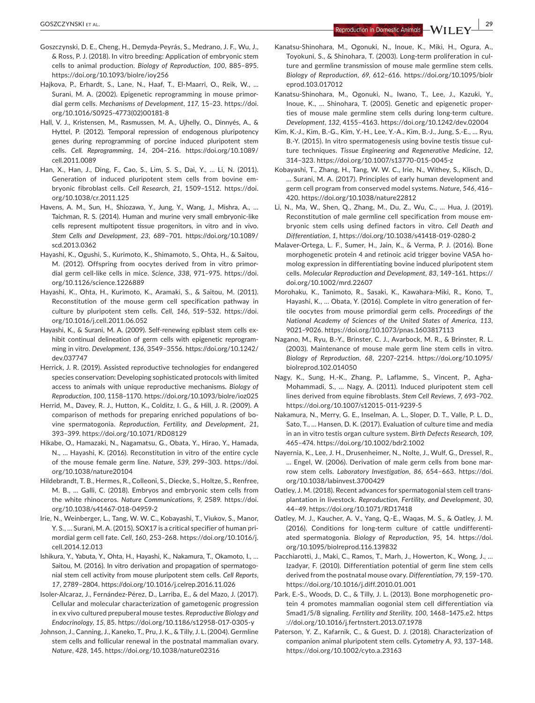**<sup>|</sup>** GOSZCZYNSKI et al. **29**

- Goszczynski, D. E., Cheng, H., Demyda‐Peyrás, S., Medrano, J. F., Wu, J., & Ross, P. J. (2018). In vitro breeding: Application of embryonic stem cells to animal production. *Biology of Reproduction*, *100*, 885–895. https://doi.org/10.1093/biolre/iov256
- Hajkova, P., Erhardt, S., Lane, N., Haaf, T., El‐Maarri, O., Reik, W., … Surani, M. A. (2002). Epigenetic reprogramming in mouse primor‐ dial germ cells. *Mechanisms of Development*, *117*, 15–23. https ://doi. org/10.1016/S0925‐4773(02)00181‐8
- Hall, V. J., Kristensen, M., Rasmussen, M. A., Ujhelly, O., Dinnyés, A., & Hyttel, P. (2012). Temporal repression of endogenous pluripotency genes during reprogramming of porcine induced pluripotent stem cells. *Cell. Reprogramming*, *14*, 204–216. https ://doi.org/10.1089/ cell.2011.0089
- Han, X., Han, J., Ding, F., Cao, S., Lim, S. S., Dai, Y., … Li, N. (2011). Generation of induced pluripotent stem cells from bovine em‐ bryonic fibroblast cells. Cell Research, 21, 1509-1512. https://doi. org/10.1038/cr.2011.125
- Havens, A. M., Sun, H., Shiozawa, Y., Jung, Y., Wang, J., Mishra, A., … Taichman, R. S. (2014). Human and murine very small embryonic‐like cells represent multipotent tissue progenitors, in vitro and in vivo. *Stem Cells and Development*, *23*, 689–701. https ://doi.org/10.1089/ scd.2013.0362
- Hayashi, K., Ogushi, S., Kurimoto, K., Shimamoto, S., Ohta, H., & Saitou, M. (2012). Offspring from oocytes derived from in vitro primor‐ dial germ cell‐like cells in mice. *Science*, *338*, 971–975. https ://doi. org/10.1126/science.1226889
- Hayashi, K., Ohta, H., Kurimoto, K., Aramaki, S., & Saitou, M. (2011). Reconstitution of the mouse germ cell specification pathway in culture by pluripotent stem cells. Cell, 146, 519-532. https://doi. org/10.1016/j.cell.2011.06.052
- Hayashi, K., & Surani, M. A. (2009). Self‐renewing epiblast stem cells ex‐ hibit continual delineation of germ cells with epigenetic reprogramming in vitro. *Development*, *136*, 3549–3556. https ://doi.org/10.1242/ dev.037747
- Herrick, J. R. (2019). Assisted reproductive technologies for endangered species conservation: Developing sophisticated protocols with limited access to animals with unique reproductive mechanisms. *Biology of Reproduction*, *100*, 1158–1170. https ://doi.org/10.1093/biolr e/ioz025
- Herrid, M., Davey, R. J., Hutton, K., Colditz, I. G., & Hill, J. R. (2009). A comparison of methods for preparing enriched populations of bo‐ vine spermatogonia. *Reproduction, Fertility, and Development*, *21*, 393–399. https ://doi.org/10.1071/RD08129
- Hikabe, O., Hamazaki, N., Nagamatsu, G., Obata, Y., Hirao, Y., Hamada, N., … Hayashi, K. (2016). Reconstitution in vitro of the entire cycle of the mouse female germ line. *Nature*, *539*, 299–303. https ://doi. org/10.1038/nature20104
- Hildebrandt, T. B., Hermes, R., Colleoni, S., Diecke, S., Holtze, S., Renfree, M. B., … Galli, C. (2018). Embryos and embryonic stem cells from the white rhinoceros. Nature Communications, 9, 2589. https://doi. org/10.1038/s41467‐018‐04959‐2
- Irie, N., Weinberger, L., Tang, W. W. C., Kobayashi, T., Viukov, S., Manor, Y. S., … Surani, M. A. (2015). SOX17 is a critical specifier of human pri‐ mordial germ cell fate. *Cell*, *160*, 253–268. https ://doi.org/10.1016/j. cell.2014.12.013
- Ishikura, Y., Yabuta, Y., Ohta, H., Hayashi, K., Nakamura, T., Okamoto, I., … Saitou, M. (2016). In vitro derivation and propagation of spermatogonial stem cell activity from mouse pluripotent stem cells. *Cell Reports*, *17*, 2789–2804. https ://doi.org/10.1016/j.celrep.2016.11.026
- Isoler‐Alcaraz, J., Fernández‐Pérez, D., Larriba, E., & del Mazo, J. (2017). Cellular and molecular characterization of gametogenic progression in ex vivo cultured prepuberal mouse testes. *Reproductive Biology and Endocrinology*, *15*, 85. https ://doi.org/10.1186/s12958‐017‐0305‐y
- Johnson, J., Canning, J., Kaneko, T., Pru, J. K., & Tilly, J. L. (2004). Germline stem cells and follicular renewal in the postnatal mammalian ovary. *Nature*, *428*, 145. https ://doi.org/10.1038/natur e02316
- Kanatsu‐Shinohara, M., Ogonuki, N., Inoue, K., Miki, H., Ogura, A., Toyokuni, S., & Shinohara, T. (2003). Long‐term proliferation in cul‐ ture and germline transmission of mouse male germline stem cells. *Biology of Reproduction*, *69*, 612–616. https ://doi.org/10.1095/biolr eprod.103.017012
- Kanatsu‐Shinohara, M., Ogonuki, N., Iwano, T., Lee, J., Kazuki, Y., Inoue, K., … Shinohara, T. (2005). Genetic and epigenetic proper‐ ties of mouse male germline stem cells during long‐term culture. *Development*, *132*, 4155–4163. https ://doi.org/10.1242/dev.02004
- Kim, K.‐J., Kim, B.‐G., Kim, Y.‐H., Lee, Y.‐A., Kim, B.‐J., Jung, S.‐E., … Ryu, B.‐Y. (2015). In vitro spermatogenesis using bovine testis tissue cul‐ ture techniques. *Tissue Engineering and Regenerative Medicine*, *12*, 314–323. https ://doi.org/10.1007/s13770‐015‐0045‐z
- Kobayashi, T., Zhang, H., Tang, W. W. C., Irie, N., Withey, S., Klisch, D., … Surani, M. A. (2017). Principles of early human development and germ cell program from conserved model systems. *Nature*, *546*, 416– 420. https://doi.org/10.1038/nature22812
- Li, N., Ma, W., Shen, Q., Zhang, M., Du, Z., Wu, C., … Hua, J. (2019). Reconstitution of male germline cell specification from mouse em‐ bryonic stem cells using defined factors in vitro. *Cell Death and Differentiation*, *1*, https ://doi.org/10.1038/s41418‐019‐0280‐2
- Malaver‐Ortega, L. F., Sumer, H., Jain, K., & Verma, P. J. (2016). Bone morphogenetic protein 4 and retinoic acid trigger bovine VASA homolog expression in differentiating bovine induced pluripotent stem cells. *Molecular Reproduction and Development*, *83*, 149–161. https :// doi.org/10.1002/mrd.22607
- Morohaku, K., Tanimoto, R., Sasaki, K., Kawahara‐Miki, R., Kono, T., Hayashi, K., … Obata, Y. (2016). Complete in vitro generation of fer‐ tile oocytes from mouse primordial germ cells. *Proceedings of the National Academy of Sciences of the United States of America*, *113*, 9021–9026. https ://doi.org/10.1073/pnas.16038 17113
- Nagano, M., Ryu, B.‐Y., Brinster, C. J., Avarbock, M. R., & Brinster, R. L. (2003). Maintenance of mouse male germ line stem cells in vitro. *Biology of Reproduction*, *68*, 2207–2214. https ://doi.org/10.1095/ biolreprod.102.014050
- Nagy, K., Sung, H.‐K., Zhang, P., Laflamme, S., Vincent, P., Agha‐ Mohammadi, S., … Nagy, A. (2011). Induced pluripotent stem cell lines derived from equine fibroblasts. *Stem Cell Reviews*, *7*, 693–702. https ://doi.org/10.1007/s12015‐011‐9239‐5
- Nakamura, N., Merry, G. E., Inselman, A. L., Sloper, D. T., Valle, P. L. D., Sato, T., … Hansen, D. K. (2017). Evaluation of culture time and media in an in vitro testis organ culture system. *Birth Defects Research*, *109*, 465–474. https ://doi.org/10.1002/bdr2.1002
- Nayernia, K., Lee, J. H., Drusenheimer, N., Nolte, J., Wulf, G., Dressel, R., … Engel, W. (2006). Derivation of male germ cells from bone mar‐ row stem cells. Laboratory Investigation, 86, 654-663. https://doi. org/10.1038/labin vest.3700429
- Oatley, J. M. (2018). Recent advances for spermatogonial stem cell trans‐ plantation in livestock. *Reproduction, Fertility, and Development*, *30*, 44–49. https ://doi.org/10.1071/RD17418
- Oatley, M. J., Kaucher, A. V., Yang, Q.‐E., Waqas, M. S., & Oatley, J. M. (2016). Conditions for long-term culture of cattle undifferentiated spermatogonia. *Biology of Reproduction*, *95*, 14. https ://doi. org/10.1095/biolreprod.116.139832
- Pacchiarotti, J., Maki, C., Ramos, T., Marh, J., Howerton, K., Wong, J., … Izadyar, F. (2010). Differentiation potential of germ line stem cells derived from the postnatal mouse ovary. *Differentiation*, *79*, 159–170. https ://doi.org/10.1016/j.diff.2010.01.001
- Park, E.‐S., Woods, D. C., & Tilly, J. L. (2013). Bone morphogenetic pro‐ tein 4 promotes mammalian oogonial stem cell differentiation via Smad1/5/8 signaling. *Fertility and Sterility*, *100*, 1468–1475.e2. https ://doi.org/10.1016/j.fertnstert.2013.07.1978
- Paterson, Y. Z., Kafarnik, C., & Guest, D. J. (2018). Characterization of companion animal pluripotent stem cells. *Cytometry A*, *93*, 137–148. https://doi.org/10.1002/cyto.a.23163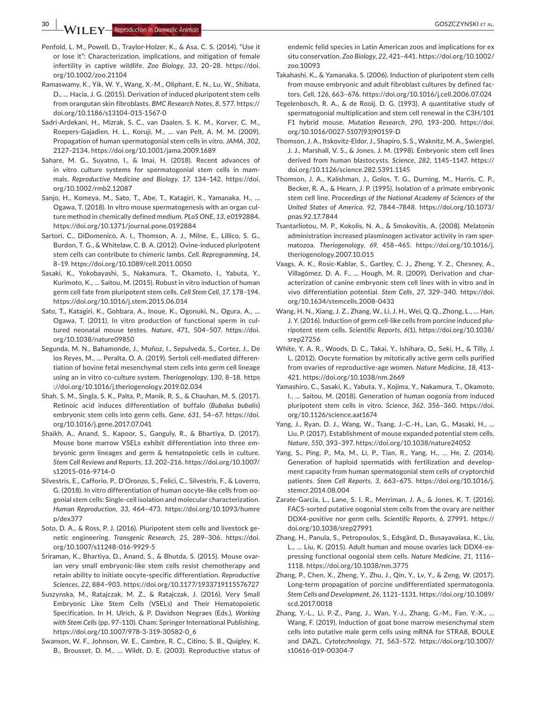**1 FY Reproduction in Domestic Animals** 

- Penfold, L. M., Powell, D., Traylor‐Holzer, K., & Asa, C. S. (2014). "Use it or lose it": Characterization, implications, and mitigation of female infertility in captive wildlife. *Zoo Biology*, 33, 20-28. https://doi. org/10.1002/zoo.21104
- Ramaswamy, K., Yik, W. Y., Wang, X.‐M., Oliphant, E. N., Lu, W., Shibata, D., … Hacia, J. G. (2015). Derivation of induced pluripotent stem cells from orangutan skin fibroblasts. *BMC Research Notes*, *8*, 577. https :// doi.org/10.1186/s13104‐015‐1567‐0
- Sadri‐Ardekani, H., Mizrak, S. C., van Daalen, S. K. M., Korver, C. M., Roepers‐Gajadien, H. L., Koruji, M., … van Pelt, A. M. M. (2009). Propagation of human spermatogonial stem cells in vitro. *JAMA*, *302*, 2127–2134. https ://doi.org/10.1001/jama.2009.1689
- Sahare, M. G., Suyatno, I., & Imai, H. (2018). Recent advances of in vitro culture systems for spermatogonial stem cells in mammals. Reproductive Medicine and Biology, 17, 134-142. https://doi. org/10.1002/rmb2.12087
- Sanjo, H., Komeya, M., Sato, T., Abe, T., Katagiri, K., Yamanaka, H., … Ogawa, T. (2018). In vitro mouse spermatogenesis with an organ cul‐ ture method in chemically defined medium. *PLoS ONE*, *13*, e0192884. https://doi.org/10.1371/journal.pone.0192884
- Sartori, C., DiDomenico, A. I., Thomson, A. J., Milne, E., Lillico, S. G., Burdon, T. G., & Whitelaw, C. B. A. (2012). Ovine‐induced pluripotent stem cells can contribute to chimeric lambs. *Cell. Reprogramming*, *14*, 8–19. https ://doi.org/10.1089/cell.2011.0050
- Sasaki, K., Yokobayashi, S., Nakamura, T., Okamoto, I., Yabuta, Y., Kurimoto, K., … Saitou, M. (2015). Robust in vitro induction of human germ cell fate from pluripotent stem cells. *Cell Stem Cell*, *17*, 178–194. https ://doi.org/10.1016/j.stem.2015.06.014
- Sato, T., Katagiri, K., Gohbara, A., Inoue, K., Ogonuki, N., Ogura, A., … Ogawa, T. (2011). In vitro production of functional sperm in cul‐ tured neonatal mouse testes. Nature, 471, 504-507. https://doi. org/10.1038/nature09850
- Segunda, M. N., Bahamonde, J., Muñoz, I., Sepulveda, S., Cortez, J., De los Reyes, M., … Peralta, O. A. (2019). Sertoli cell‐mediated differen‐ tiation of bovine fetal mesenchymal stem cells into germ cell lineage using an in vitro co‐culture system. *Theriogenology*, *130*, 8–18. https ://doi.org/10.1016/j.theriogenology.2019.02.034
- Shah, S. M., Singla, S. K., Palta, P., Manik, R. S., & Chauhan, M. S. (2017). Retinoic acid induces differentiation of buffalo (*Bubalus bubalis*) embryonic stem cells into germ cells. *Gene*, *631*, 54–67. https ://doi. org/10.1016/j.gene.2017.07.041
- Shaikh, A., Anand, S., Kapoor, S., Ganguly, R., & Bhartiya, D. (2017). Mouse bone marrow VSELs exhibit differentiation into three em‐ bryonic germ lineages and germ & hematopoietic cells in culture. *Stem Cell Reviews and Reports*, *13*, 202–216. https ://doi.org/10.1007/ s12015‐016‐9714‐0
- Silvestris, E., Cafforio, P., D'Oronzo, S., Felici, C., Silvestris, F., & Loverro, G. (2018). In vitro differentiation of human oocyte‐like cells from oo‐ gonial stem cells: Single‐cell isolation and molecular characterization. *Human Reproduction*, *33*, 464–473. https ://doi.org/10.1093/humre p/dex377
- Soto, D. A., & Ross, P. J. (2016). Pluripotent stem cells and livestock ge‐ netic engineering. *Transgenic Research*, 25, 289-306. https://doi. org/10.1007/s11248‐016‐9929‐5
- Sriraman, K., Bhartiya, D., Anand, S., & Bhutda, S. (2015). Mouse ovar‐ ian very small embryonic‐like stem cells resist chemotherapy and retain ability to initiate oocyte‐specific differentiation. *Reproductive Sciences*, *22*, 884–903. https ://doi.org/10.1177/19337 19115 576727
- Suszynska, M., Ratajczak, M. Z., & Ratajczak, J. (2016). Very Small Embryonic Like Stem Cells (VSELs) and Their Hematopoietic Specification. In H. Ulrich, & P. Davidson Negraes (Eds.), *Working with Stem Cells* (pp. 97–110). Cham: Springer International Publishing. https ://doi.org/10.1007/978‐3‐319‐30582‐0\_6
- Swanson, W. F., Johnson, W. E., Cambre, R. C., Citino, S. B., Quigley, K. B., Brousset, D. M., … Wildt, D. E. (2003). Reproductive status of

endemic felid species in Latin American zoos and implications for ex situ conservation. *Zoo Biology*, *22*, 421–441. https ://doi.org/10.1002/ zoo.10093

- Takahashi, K., & Yamanaka, S. (2006). Induction of pluripotent stem cells from mouse embryonic and adult fibroblast cultures by defined fac‐ tors. *Cell*, *126*, 663–676. https ://doi.org/10.1016/j.cell.2006.07.024
- Tegelenbosch, R. A., & de Rooij, D. G. (1993). A quantitative study of spermatogonial multiplication and stem cell renewal in the C3H/101 F1 hybrid mouse. Mutation Research, 290, 193-200. https://doi. org/10.1016/0027‐5107(93)90159‐D
- Thomson, J. A., Itskovitz‐Eldor, J., Shapiro, S. S., Waknitz, M. A., Swiergiel, J. J., Marshall, V. S., & Jones, J. M. (1998). Embryonic stem cell lines derived from human blastocysts. *Science*, *282*, 1145–1147. https :// doi.org/10.1126/science.282.5391.1145
- Thomson, J. A., Kalishman, J., Golos, T. G., Durning, M., Harris, C. P., Becker, R. A., & Hearn, J. P. (1995). Isolation of a primate embryonic stem cell line. *Proceedings of the National Academy of Sciences of the United States of America*, *92*, 7844–7848. https ://doi.org/10.1073/ pnas.92.17.7844
- Tsantarliotou, M. P., Kokolis, N. A., & Smokovitis, A. (2008). Melatonin administration increased plasminogen activator activity in ram sper‐ matozoa. *Theriogenology*, *69*, 458–465. https ://doi.org/10.1016/j. theriogenology.2007.10.015
- Vaags, A. K., Rosic‐Kablar, S., Gartley, C. J., Zheng, Y. Z., Chesney, A., Villagómez, D. A. F., … Hough, M. R. (2009). Derivation and char‐ acterization of canine embryonic stem cell lines with in vitro and in vivo differentiation potential. Stem Cells, 27, 329-340. https://doi. org/10.1634/stemcells.2008-0433
- Wang, H. N., Xiang, J. Z., Zhang, W., Li, J. H., Wei, Q. Q., Zhong, L., … Han, J. Y. (2016). Induction of germ cell‐like cells from porcine induced plu‐ ripotent stem cells. *Scientific Reports*, *6*(1), https ://doi.org/10.1038/ srep27256
- White, Y. A. R., Woods, D. C., Takai, Y., Ishihara, O., Seki, H., & Tilly, J. L. (2012). Oocyte formation by mitotically active germ cells purified from ovaries of reproductive‐age women. *Nature Medicine*, *18*, 413– 421. https ://doi.org/10.1038/nm.2669
- Yamashiro, C., Sasaki, K., Yabuta, Y., Kojima, Y., Nakamura, T., Okamoto, I., … Saitou, M. (2018). Generation of human oogonia from induced pluripotent stem cells in vitro. *Science*, 362, 356-360. https://doi. org/10.1126/scien ce.aat1674
- Yang, J., Ryan, D. J., Wang, W., Tsang, J.‐C.‐H., Lan, G., Masaki, H., … Liu, P. (2017). Establishment of mouse expanded potential stem cells. *Nature*, 550, 393-397. https://doi.org/10.1038/nature24052
- Yang, S., Ping, P., Ma, M., Li, P., Tian, R., Yang, H., … He, Z. (2014). Generation of haploid spermatids with fertilization and develop‐ ment capacity from human spermatogonial stem cells of cryptorchid patients. *Stem Cell Reports*, *3*, 663–675. https ://doi.org/10.1016/j. stemcr.2014.08.004
- Zarate‐Garcia, L., Lane, S. I. R., Merriman, J. A., & Jones, K. T. (2016). FACS‐sorted putative oogonial stem cells from the ovary are neither DDX4‐positive nor germ cells. *Scientific Reports*, *6*, 27991. https :// doi.org/10.1038/srep27991
- Zhang, H., Panula, S., Petropoulos, S., Edsgärd, D., Busayavalasa, K., Liu, L., … Liu, K. (2015). Adult human and mouse ovaries lack DDX4‐ex‐ pressing functional oogonial stem cells. *Nature Medicine*, *21*, 1116– 1118. https ://doi.org/10.1038/nm.3775
- Zhang, P., Chen, X., Zheng, Y., Zhu, J., Qin, Y., Lv, Y., & Zeng, W. (2017). Long‐term propagation of porcine undifferentiated spermatogonia. *Stem Cells and Development*, *26*, 1121–1131. https ://doi.org/10.1089/ scd.2017.0018
- Zhang, Y.‐L., Li, P.‐Z., Pang, J., Wan, Y.‐J., Zhang, G.‐M., Fan, Y.‐X., … Wang, F. (2019). Induction of goat bone marrow mesenchymal stem cells into putative male germ cells using mRNA for STRA8, BOULE and DAZL. *Cytotechnology*, *71*, 563–572. https ://doi.org/10.1007/ s10616‐019‐00304‐7